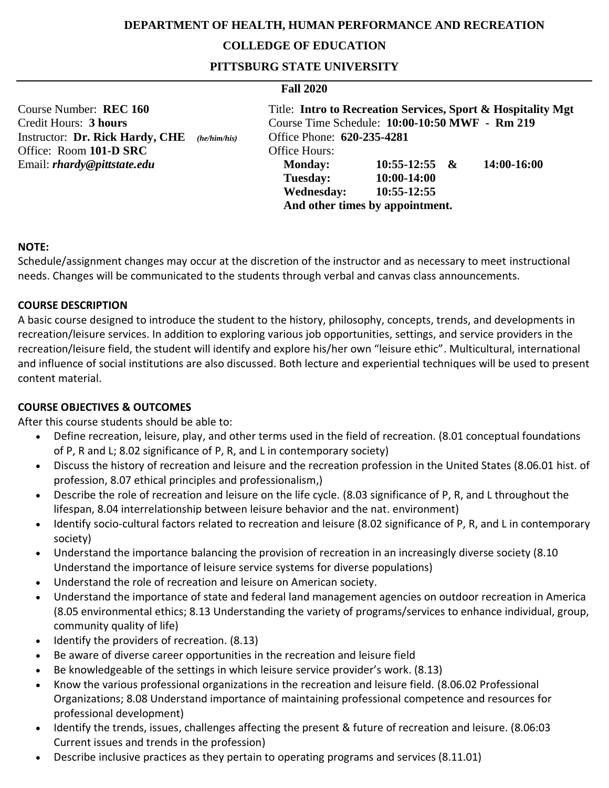### **DEPARTMENT OF HEALTH, HUMAN PERFORMANCE AND RECREATION**

### **COLLEDGE OF EDUCATION**

**PITTSBURG STATE UNIVERSITY**

#### **Fall 2020**

| Course Number: REC 160                          |                                 |                                                | Title: Intro to Recreation Services, Sport & Hospitality Mgt |  |
|-------------------------------------------------|---------------------------------|------------------------------------------------|--------------------------------------------------------------|--|
| Credit Hours: 3 hours                           |                                 | Course Time Schedule: 10:00-10:50 MWF - Rm 219 |                                                              |  |
| Instructor: Dr. Rick Hardy, CHE<br>(he/him/his) | Office Phone: 620-235-4281      |                                                |                                                              |  |
| Office: Room 101-D SRC                          | Office Hours:                   |                                                |                                                              |  |
| Email: <i>rhardy@pittstate.edu</i>              | <b>Monday:</b>                  | $10:55-12:55$ &                                | 14:00-16:00                                                  |  |
|                                                 | <b>Tuesday:</b>                 | 10:00-14:00                                    |                                                              |  |
|                                                 | <b>Wednesday:</b>               | 10:55-12:55                                    |                                                              |  |
|                                                 | And other times by appointment. |                                                |                                                              |  |

#### **NOTE:**

Schedule/assignment changes may occur at the discretion of the instructor and as necessary to meet instructional needs. Changes will be communicated to the students through verbal and canvas class announcements.

#### **COURSE DESCRIPTION**

A basic course designed to introduce the student to the history, philosophy, concepts, trends, and developments in recreation/leisure services. In addition to exploring various job opportunities, settings, and service providers in the recreation/leisure field, the student will identify and explore his/her own "leisure ethic". Multicultural, international and influence of social institutions are also discussed. Both lecture and experiential techniques will be used to present content material.

#### **COURSE OBJECTIVES & OUTCOMES**

After this course students should be able to:

- Define recreation, leisure, play, and other terms used in the field of recreation. (8.01 conceptual foundations of P, R and L; 8.02 significance of P, R, and L in contemporary society)
- Discuss the history of recreation and leisure and the recreation profession in the United States (8.06.01 hist. of profession, 8.07 ethical principles and professionalism,)
- Describe the role of recreation and leisure on the life cycle. (8.03 significance of P, R, and L throughout the lifespan, 8.04 interrelationship between leisure behavior and the nat. environment)
- Identify socio-cultural factors related to recreation and leisure (8.02 significance of P, R, and L in contemporary society)
- Understand the importance balancing the provision of recreation in an increasingly diverse society (8.10 Understand the importance of leisure service systems for diverse populations)
- Understand the role of recreation and leisure on American society.
- Understand the importance of state and federal land management agencies on outdoor recreation in America (8.05 environmental ethics; 8.13 Understanding the variety of programs/services to enhance individual, group, community quality of life)
- Identify the providers of recreation. (8.13)
- Be aware of diverse career opportunities in the recreation and leisure field
- Be knowledgeable of the settings in which leisure service provider's work. (8.13)
- Know the various professional organizations in the recreation and leisure field. (8.06.02 Professional Organizations; 8.08 Understand importance of maintaining professional competence and resources for professional development)
- Identify the trends, issues, challenges affecting the present & future of recreation and leisure. (8.06:03 Current issues and trends in the profession)
- Describe inclusive practices as they pertain to operating programs and services (8.11.01)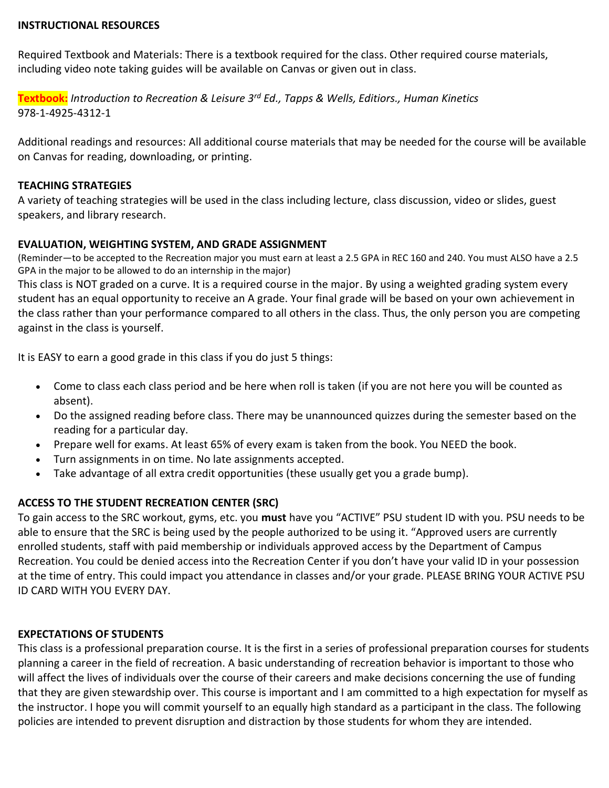#### **INSTRUCTIONAL RESOURCES**

Required Textbook and Materials: There is a textbook required for the class. Other required course materials, including video note taking guides will be available on Canvas or given out in class.

**Textbook:** *Introduction to Recreation & Leisure 3rd Ed., Tapps & Wells, Editiors., Human Kinetics* 978-1-4925-4312-1

Additional readings and resources: All additional course materials that may be needed for the course will be available on Canvas for reading, downloading, or printing.

#### **TEACHING STRATEGIES**

A variety of teaching strategies will be used in the class including lecture, class discussion, video or slides, guest speakers, and library research.

### **EVALUATION, WEIGHTING SYSTEM, AND GRADE ASSIGNMENT**

(Reminder—to be accepted to the Recreation major you must earn at least a 2.5 GPA in REC 160 and 240. You must ALSO have a 2.5 GPA in the major to be allowed to do an internship in the major)

This class is NOT graded on a curve. It is a required course in the major. By using a weighted grading system every student has an equal opportunity to receive an A grade. Your final grade will be based on your own achievement in the class rather than your performance compared to all others in the class. Thus, the only person you are competing against in the class is yourself.

It is EASY to earn a good grade in this class if you do just 5 things:

- Come to class each class period and be here when roll is taken (if you are not here you will be counted as absent).
- Do the assigned reading before class. There may be unannounced quizzes during the semester based on the reading for a particular day.
- Prepare well for exams. At least 65% of every exam is taken from the book. You NEED the book.
- Turn assignments in on time. No late assignments accepted.
- Take advantage of all extra credit opportunities (these usually get you a grade bump).

## **ACCESS TO THE STUDENT RECREATION CENTER (SRC)**

To gain access to the SRC workout, gyms, etc. you **must** have you "ACTIVE" PSU student ID with you. PSU needs to be able to ensure that the SRC is being used by the people authorized to be using it. "Approved users are currently enrolled students, staff with paid membership or individuals approved access by the Department of Campus Recreation. You could be denied access into the Recreation Center if you don't have your valid ID in your possession at the time of entry. This could impact you attendance in classes and/or your grade. PLEASE BRING YOUR ACTIVE PSU ID CARD WITH YOU EVERY DAY.

## **EXPECTATIONS OF STUDENTS**

This class is a professional preparation course. It is the first in a series of professional preparation courses for students planning a career in the field of recreation. A basic understanding of recreation behavior is important to those who will affect the lives of individuals over the course of their careers and make decisions concerning the use of funding that they are given stewardship over. This course is important and I am committed to a high expectation for myself as the instructor. I hope you will commit yourself to an equally high standard as a participant in the class. The following policies are intended to prevent disruption and distraction by those students for whom they are intended.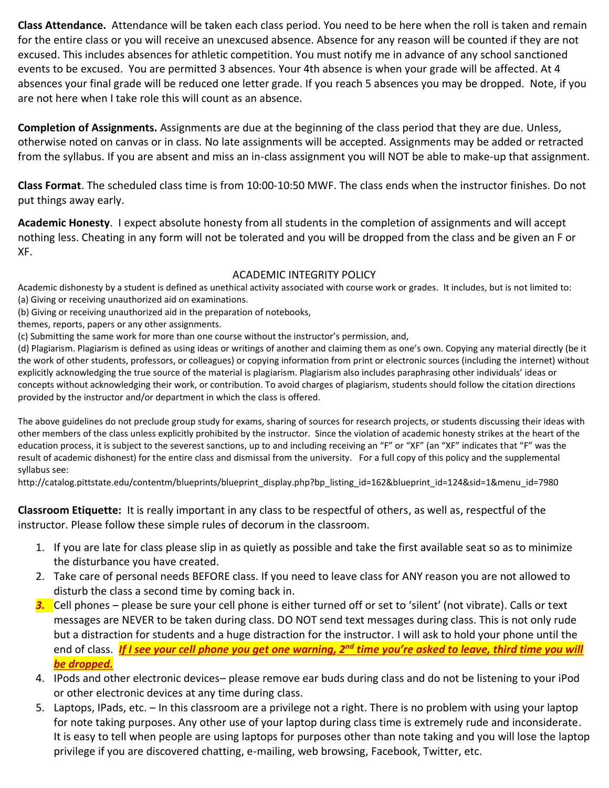**Class Attendance.** Attendance will be taken each class period. You need to be here when the roll is taken and remain for the entire class or you will receive an unexcused absence. Absence for any reason will be counted if they are not excused. This includes absences for athletic competition. You must notify me in advance of any school sanctioned events to be excused. You are permitted 3 absences. Your 4th absence is when your grade will be affected. At 4 absences your final grade will be reduced one letter grade. If you reach 5 absences you may be dropped. Note, if you are not here when I take role this will count as an absence.

**Completion of Assignments.** Assignments are due at the beginning of the class period that they are due. Unless, otherwise noted on canvas or in class. No late assignments will be accepted. Assignments may be added or retracted from the syllabus. If you are absent and miss an in-class assignment you will NOT be able to make-up that assignment.

**Class Format**. The scheduled class time is from 10:00-10:50 MWF. The class ends when the instructor finishes. Do not put things away early.

**Academic Honesty**. I expect absolute honesty from all students in the completion of assignments and will accept nothing less. Cheating in any form will not be tolerated and you will be dropped from the class and be given an F or XF.

## ACADEMIC INTEGRITY POLICY

Academic dishonesty by a student is defined as unethical activity associated with course work or grades. It includes, but is not limited to: (a) Giving or receiving unauthorized aid on examinations.

(b) Giving or receiving unauthorized aid in the preparation of notebooks,

themes, reports, papers or any other assignments.

(c) Submitting the same work for more than one course without the instructor's permission, and,

(d) Plagiarism. Plagiarism is defined as using ideas or writings of another and claiming them as one's own. Copying any material directly (be it the work of other students, professors, or colleagues) or copying information from print or electronic sources (including the internet) without explicitly acknowledging the true source of the material is plagiarism. Plagiarism also includes paraphrasing other individuals' ideas or concepts without acknowledging their work, or contribution. To avoid charges of plagiarism, students should follow the citation directions provided by the instructor and/or department in which the class is offered.

The above guidelines do not preclude group study for exams, sharing of sources for research projects, or students discussing their ideas with other members of the class unless explicitly prohibited by the instructor. Since the violation of academic honesty strikes at the heart of the education process, it is subject to the severest sanctions, up to and including receiving an "F" or "XF" (an "XF" indicates that "F" was the result of academic dishonest) for the entire class and dismissal from the university. For a full copy of this policy and the supplemental syllabus see:

[http://catalog.pittstate.edu/contentm/blueprints/blueprint\\_display.php?bp\\_listing\\_id=162&blueprint\\_id=124&sid=1&menu\\_id=7980](http://catalog.pittstate.edu/contentm/blueprints/blueprint_display.php?bp_listing_id=162&blueprint_id=124&sid=1&menu_id=7980)

**Classroom Etiquette:** It is really important in any class to be respectful of others, as well as, respectful of the instructor. Please follow these simple rules of decorum in the classroom.

- 1. If you are late for class please slip in as quietly as possible and take the first available seat so as to minimize the disturbance you have created.
- 2. Take care of personal needs BEFORE class. If you need to leave class for ANY reason you are not allowed to disturb the class a second time by coming back in.
- *3.* Cell phones please be sure your cell phone is either turned off or set to 'silent' (not vibrate). Calls or text messages are NEVER to be taken during class. DO NOT send text messages during class. This is not only rude but a distraction for students and a huge distraction for the instructor. I will ask to hold your phone until the end of class. *If I see your cell phone you get one warning, 2nd time you're asked to leave, third time you will be dropped.*
- 4. IPods and other electronic devices– please remove ear buds during class and do not be listening to your iPod or other electronic devices at any time during class.
- 5. Laptops, IPads, etc. In this classroom are a privilege not a right. There is no problem with using your laptop for note taking purposes. Any other use of your laptop during class time is extremely rude and inconsiderate. It is easy to tell when people are using laptops for purposes other than note taking and you will lose the laptop privilege if you are discovered chatting, e-mailing, web browsing, Facebook, Twitter, etc.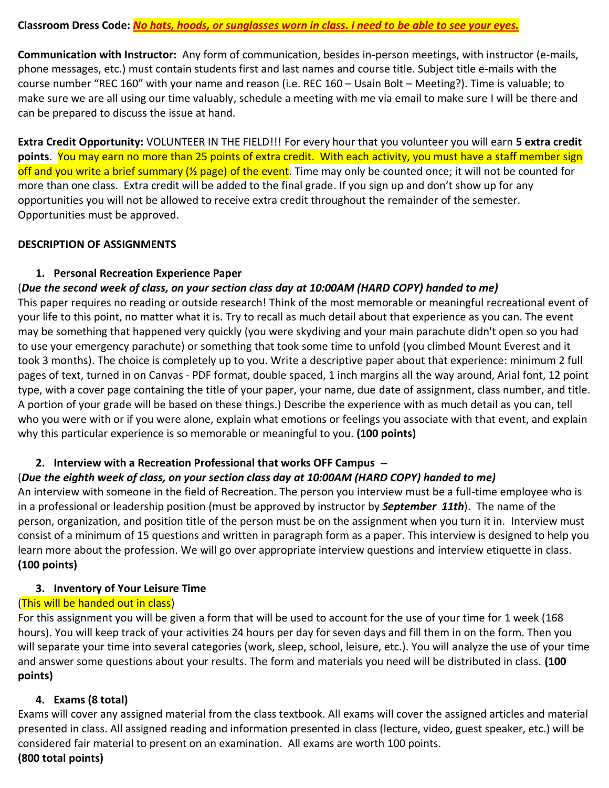#### **Classroom Dress Code:** *No hats, hoods, or sunglasses worn in class. I need to be able to see your eyes.*

**Communication with Instructor:** Any form of communication, besides in-person meetings, with instructor (e-mails, phone messages, etc.) must contain students first and last names and course title. Subject title e-mails with the course number "REC 160" with your name and reason (i.e. REC 160 – Usain Bolt – Meeting?). Time is valuable; to make sure we are all using our time valuably, schedule a meeting with me via email to make sure I will be there and can be prepared to discuss the issue at hand.

**Extra Credit Opportunity:** VOLUNTEER IN THE FIELD!!! For every hour that you volunteer you will earn **5 extra credit points**. You may earn no more than 25 points of extra credit. With each activity, you must have a staff member sign off and you write a brief summary ( $\frac{1}{2}$  page) of the event. Time may only be counted once; it will not be counted for more than one class. Extra credit will be added to the final grade. If you sign up and don't show up for any opportunities you will not be allowed to receive extra credit throughout the remainder of the semester. Opportunities must be approved.

### **DESCRIPTION OF ASSIGNMENTS**

## **1. Personal Recreation Experience Paper**

# (*Due the second week of class, on your section class day at 10:00AM (HARD COPY) handed to me)*

This paper requires no reading or outside research! Think of the most memorable or meaningful recreational event of your life to this point, no matter what it is. Try to recall as much detail about that experience as you can. The event may be something that happened very quickly (you were skydiving and your main parachute didn't open so you had to use your emergency parachute) or something that took some time to unfold (you climbed Mount Everest and it took 3 months). The choice is completely up to you. Write a descriptive paper about that experience: minimum 2 full pages of text, turned in on Canvas - PDF format, double spaced, 1 inch margins all the way around, Arial font, 12 point type, with a cover page containing the title of your paper, your name, due date of assignment, class number, and title. A portion of your grade will be based on these things.) Describe the experience with as much detail as you can, tell who you were with or if you were alone, explain what emotions or feelings you associate with that event, and explain why this particular experience is so memorable or meaningful to you. **(100 points)**

## **2. Interview with a Recreation Professional that works OFF Campus --**

## (*Due the eighth week of class, on your section class day at 10:00AM (HARD COPY) handed to me)*

An interview with someone in the field of Recreation. The person you interview must be a full-time employee who is in a professional or leadership position (must be approved by instructor by *September 11th*). The name of the person, organization, and position title of the person must be on the assignment when you turn it in. Interview must consist of a minimum of 15 questions and written in paragraph form as a paper. This interview is designed to help you learn more about the profession. We will go over appropriate interview questions and interview etiquette in class. **(100 points)** 

## **3. Inventory of Your Leisure Time**

## (This will be handed out in class)

For this assignment you will be given a form that will be used to account for the use of your time for 1 week (168 hours). You will keep track of your activities 24 hours per day for seven days and fill them in on the form. Then you will separate your time into several categories (work, sleep, school, leisure, etc.). You will analyze the use of your time and answer some questions about your results. The form and materials you need will be distributed in class. **(100 points)**

#### **4. Exams (8 total)**

Exams will cover any assigned material from the class textbook. All exams will cover the assigned articles and material presented in class. All assigned reading and information presented in class (lecture, video, guest speaker, etc.) will be considered fair material to present on an examination. All exams are worth 100 points. **(800 total points)**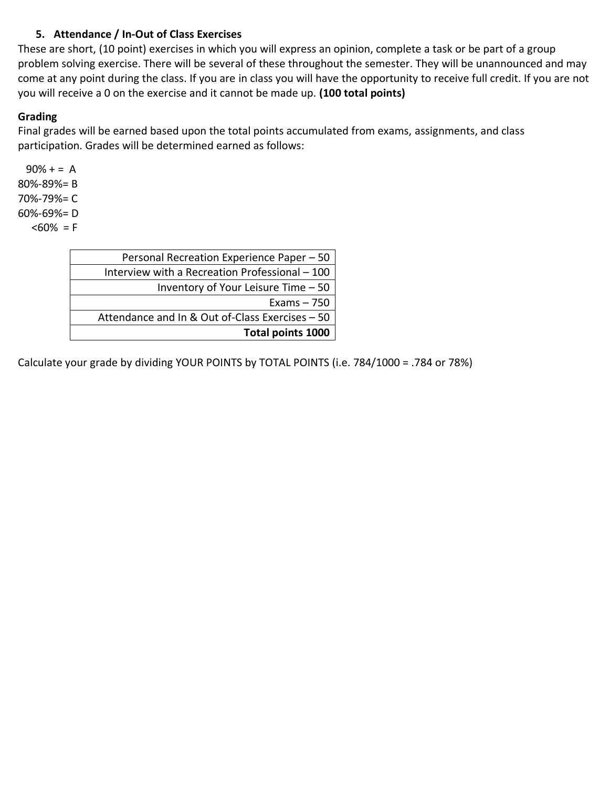# **5. Attendance / In-Out of Class Exercises**

These are short, (10 point) exercises in which you will express an opinion, complete a task or be part of a group problem solving exercise. There will be several of these throughout the semester. They will be unannounced and may come at any point during the class. If you are in class you will have the opportunity to receive full credit. If you are not you will receive a 0 on the exercise and it cannot be made up. **(100 total points)**

### **Grading**

Final grades will be earned based upon the total points accumulated from exams, assignments, and class participation. Grades will be determined earned as follows:

 $90% + = A$ 80%-89%= B 70%-79%= C 60%-69%= D  $<60\% = F$ 

| Total points 1000                               |
|-------------------------------------------------|
| Attendance and In & Out of-Class Exercises - 50 |
| Exams $-750$                                    |
| Inventory of Your Leisure Time $-50$            |
| Interview with a Recreation Professional - 100  |
| Personal Recreation Experience Paper - 50       |

Calculate your grade by dividing YOUR POINTS by TOTAL POINTS (i.e. 784/1000 = .784 or 78%)